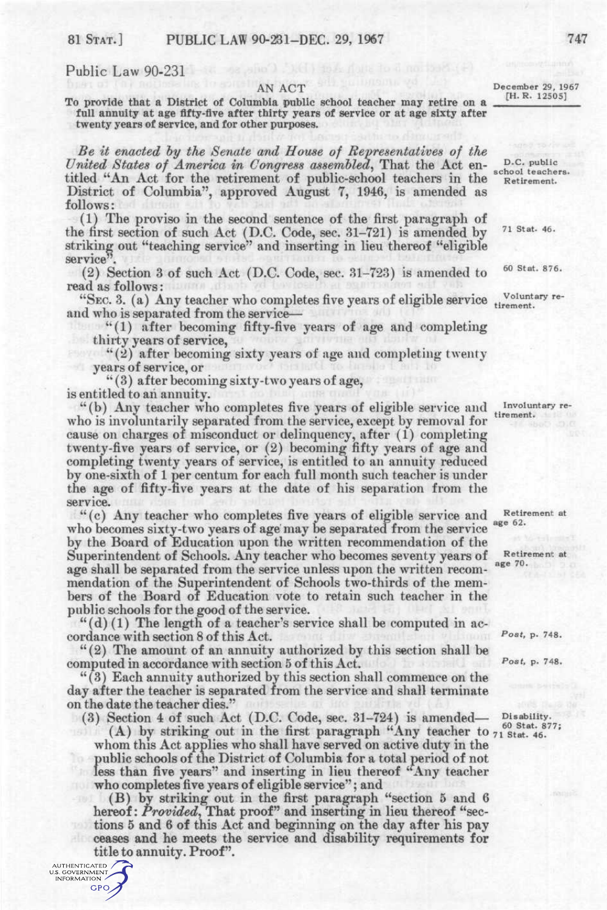## Public Law 90-231

To provide that a District of Columbia public school teacher may retire on a ' full annuity at age fifty-five after thirty years of service or at age sixty after twenty years of service, and for other purposes.

*Be it enacted iy the Senate and House of Representatives of the United States of America in Congress assenfibled^* That the Act entitled "An Act for the retirement of public-school teachers in the District of Columbia", approved August 7, 1946, is amended as follows:

(1) The proviso in the second sentence of the first paragraph of the first section of such Act (D.C. Code, sec. 31-721) is amended by striking out "teaching service" and inserting in lieu thereof "eligible service".

(2) Section 3 of such Act (D.C. Code, sec. 31-723) is amended to  $^{60 \text{ Stat. } 876}$ . read as follows:

"SEC. 3. (a) Any teacher who completes five years of eligible service voluntary reand who is separated from the service—

"(1) after becoming fifty-five years of age and completing thirty years of service,

"(2) after becoming sixty years of age and completing twenty years of service, or

" (3) after becoming sixty-two years of age,

is entitled to ah annuity.

"(b) Any teacher who completes five years of eligible service and Involuntary rewho is involuntarily separated from the service, except by removal for cause on charges of misconduct or delinquency, after (1) completing twenty-five years of service, or (2) becoming fifty years of age and completing twenty years of service, is entitled to an annuity reduced by one-sixth of 1 per centum for each full month such teacher is under the age of fifty-five years at the date of his separation from the service.

"(c) Any teacher who completes five years of eligible service and Retirement at who becomes sixty-two years of age may be separated from the service by the Board of Education upon the written recommendation of the Superintendent of Schools. Any teacher who becomes seventy years of Retirement at age shall be separated from the service unless upon the written recommendation of the Superintendent of Schools two-thirds of the members of the Board of Education vote to retain such teacher in the public schools for the good of the service.

 $``(d)(1)$  The length of a teacher's service shall be computed in accordance with section 8 of this Act.  $P_{ost, p. 748.}$ 

"(2) The amount of an annuity authorized by this section shall be computed in accordance with section 5 of this Act.  $P_{ost, p. 748}$ .

"(3) Each annuity authorized by this section shall commence on the day after the teacher is separated from the service and shall terminate on the date the teacher dies."

(3) Section 4 of such Act (D.C. Code, sec.  $31-724$ ) is amended—  $_{60 \text{ Stat. } 877}$ ;

(A) by striking out in the first paragraph "Any teacher to  $71$  Stat. 46. whom this Act applies who shall have served on active duty in the public schools of the District of Columbia for a total period of not less than five years" and inserting in lieu thereof "Any teacher who completes five years of eligible service"; and

(B) by striking out in the first paragraph "section 5 and 6 hereof: Provided, That proof" and inserting in lieu thereof "sections 5 and 6 of this Act and beginning on the day after his pay ceases and he meets the service and disability requirements for title to annuity. Proof".

AUTHENTICATED<br>U.S. GOVERNMENT<br>INFORMATION GPO AN ACT December 29, 1967  $[H. R. 12505]$ 

> D.C. public school teachers.<br>Retirement.

> > 71 Stat. 46.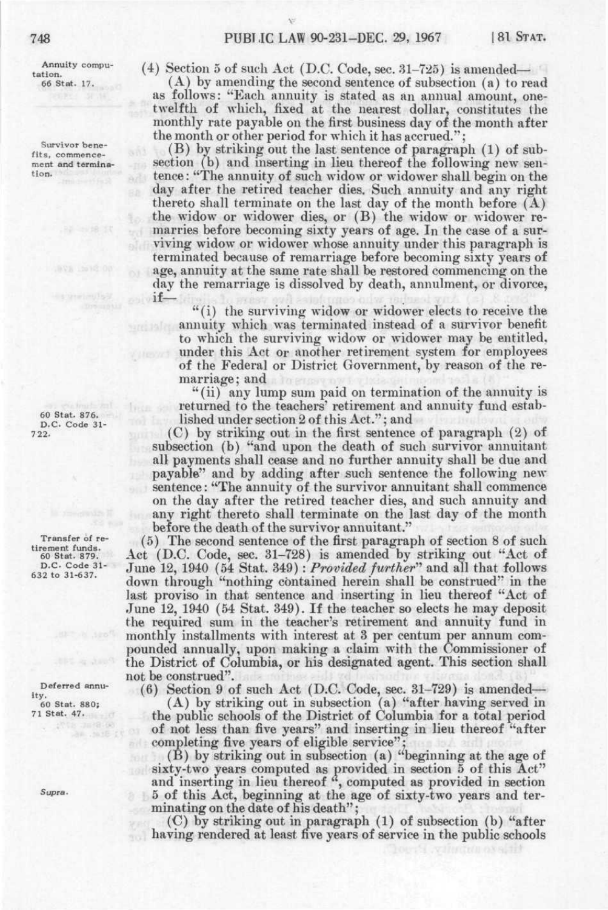**Annuity computation. 66 Stat. 17.** 

**Survivor benefits, commencement and termination.** 

azh

**60 Stat. 876. D.C. Code 31- 722.** 

**Transfer of retirement funds. 60 Stat. 879. D.C. Code 31- 632 to 31-637.** 

**Deferred annuity. 60 Stat. 880; 71 Stat. 47.** 

*Supra.* 

(4) Section 5 of such Act (D.C. Code, sec. 81-725) is amended—

(A) by amending the second sentence of subsection (a) to read as follows: "Each annuity is stated as an annual amount, onetwelfth of which, fixed at the nearest dollar, constitutes the monthly rate payable on the first business day of the month after the month or other period for which it has accrued.";

(B) by striking out the last sentence of paragraph (1) of subsection (b) and inserting in lieu thereof the following new sentence : "The annuity of such widow or widower shall begin on the day after the retired teacher dies. Such annuity and any right thereto shall terminate on the last day of the month before  $(A)$ the widow or widower dies, or (B) the widow or widower remarries before becoming sixty years of age. In the case of a surviving widow or widower whose annuity under this paragraph is terminated because of remarriage before becoming sixty years of age, annuity at the same rate shall be restored commencing on the day the remarriage is dissolved by death, annulment, or divorce,  $it$ 

> "(i) the surviving widow or widower elects to receive the annuity which was terminated instead of a survivor benefit to which the surviving widow or widower may be entitled, under this Act or another retirement system for employees of the Federal or District Government, by reason of the remarriage; and

> "(ii) any lump sum paid on termination of the annuity is returned to the teachers' retirement and annuity fund established under section 2 of this Act."; and

(C) by striking out in the first sentence of paragraph (2) of subsection (b) "and upon the death of such survivor annuitant all payments shall cease and no further annuity shall be due and payable" and by adding after such sentence the following new sentence: "The annuity of the survivor annuitant shall commence on the day after the retired teacher dies, and such annuity and any right thereto shall terminate on the last day of the month before the death of the survivor annuitant."

(5) The second sentence of the first paragraph of section 8 of such Act (D.C. Code, sec. 31-728) is amended by striking out "Act of June 12, 1940 (54 Stat. 349) : *Provided further''* and all that follows down through "nothing contained herein shall be construed" in the last proviso in that sentence and inserting in lieu thereof "Act of June 12, 1940 (54 Stat. 349). If the teacher so elects he may deposit the required sum in the teacher's retirement and annuity fund in monthly installments with interest at 3 per centum per annum compounded annually, upon making a claim with the Commissioner of the District of Columbia, or his designated agent. This section shall not be construed".

(6) Section 9 of such Act (D.C. Code, sec. 31-729) is amended—

(A) *hj* striking out in subsection (a) "after having served in the public schools of the District of Columbia for a total period of not less than five years" and inserting in lieu thereof "after completing five years of eligible service".

(B) by striking out in subsection (a) "beginning at the age of sixty-two years computed as provided in section 5 of this Act" and inserting in lieu thereof ", computed as provided in section 5 of this Act, beginning at the age of sixty-two years and terminating on the date of his death";

(C) by striking out in paragraph (1) of subsection (b) "after having rendered at least five years of service in the public schools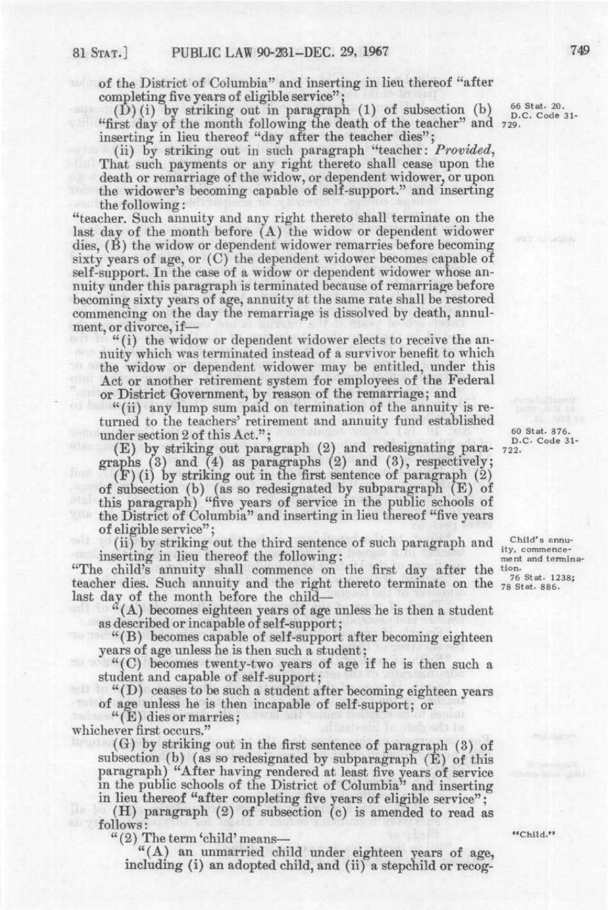of the District of Columbia" and inserting in lieu thereof "after completing five years of eligible service";

 $(D)$  (i) by striking out in paragraph (1) of subsection (b)  $_{D.C.~Code~31-}^{66~Stat.~20}$ . "first day of the month following the death of the teacher" and  $729$ . inserting in lieu thereof "day after the teacher dies";

(ii) by striking out in such paragraph "teacher: *Provided^*  That such payments or any right thereto shall cease upon the death or remarriage of the widow, or dependent widower, or upon the widower's becoming capable of self-support." and inserting the following:

"teacher. Such annuity and any right thereto shall terminate on the last day of the month before (A) the widow or dependent widower dies, (B) the widow or dependent widower remarries before becoming sixty years of age, or (C) the dependent widower becomes capable of self-support. In the case of a widow or dependent widower whose annuity under this paragraph is terminated because of remarriage before becoming sixty years of age, annuity at the same rate shall be restored commencing on the day the remarriage is dissolved by death, annulment, or divorce, if—

"(i) the widow or dependent widower elects to receive the annuity which was terminated instead of a survivor benefit to which the widow or dependent widower may be entitled, under this Act or another retirement system for employees of the Federal or District Government, by reason of the remarriage; and

"(ii) any lump sum paid on termination of the annuity is returned to the teachers' retirement and annuity fund established under section 2 of this Act.";

(E) by striking out paragraph (2) and redesignating paragraphs (3) and (4) as paragraphs (2) and (3), respectively;

(F) (i) by striking out in the first sentence of paragraph (2) of subsection (b) (as so redesignated by subparagraph (E) of this paragraph) "five years of service in the public schools of the District of Columbia" and inserting in lieu thereof "five years of eligible service";

(ii) by striking out the third sentence of such paragraph and child's annumserting in lieu thereof the following: ment and termina-

"The child's annuity shall commence on the first day after the  $t_{10}$ .  $t_{1238}$ teacher dies. Such annuity and the right thereto terminate on the 78 stat. 886. last day of the month before the child—

 $(A)$  becomes eighteen years of age unless he is then a student as described or incapable of self-support;

"(B) becomes capable of self-support after becoming eighteen years of age unless he is then such a student;

" $(C)$  becomes twenty-two years of age if he is then such a student and capable of self-support;

 $H(D)$  ceases to be such a student after becoming eighteen years of age unless he is then incapable of self-support; or

"(E) dies or marries;

whichever first occurs."

(G) by striking out in the first sentence of paragraph (3) of subsection (b) (as so redesignated by subparagraph (E) of this paragraph) "After having rendered at least five years of service in the public schools of the District of Columbia" and inserting in lieu thereof "after completing five years of eligible service";

(H) paragraph (2) of subsection (c) is amended to read as follows:

 $"$  (2) The term 'child' means—

"(A) an unmarried child under eighteen years of age, including (i) an adopted child, and (ii) a stepchild or recog-

60 Stat. 876. D.C. Code 31-722.

"Child. "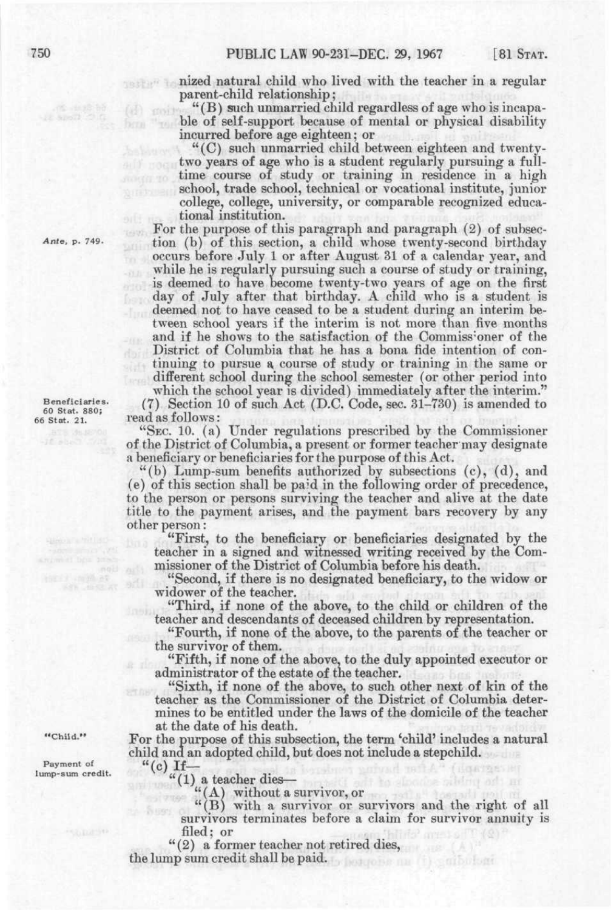nized natural child who lived with the teacher in a regular parent-child relationship;

"(B) such unmarried child regardless of age who is incapa- $(42)$  goals ble of self-support because of mental or physical disability incurred before age eighteen; or

> "(C) such unmarried child between eighteen and twentytwo years of age who is a student regularly pursuing a fulltime course of study or training in residence in a high school, trade school, technical or vocational institute, junior college, college, university, or comparable recognized educational institution.

For the purpose of this paragraph and paragraph (2) of subsection (b) of this section, a child whose twenty-second birthday occurs before July 1 or after August 31 of a calendar year, and while he is regularly pursuing such a course of study or training, is deemed to have become twenty-two years of age on the first day of July after that birthday, A child who is a student is deemed not to have ceased to be a student during an interim between school years if the interim is not more than five months and if he shows to the satisfaction of the Commissioner of the District of Columbia that he has a bona fide intention of continuing to pursue a course of study or training in the same or different school during the school semester (or other period into which the school year is divided) immediately after the interim."

(7) Section 10 of such Act (D.C. Code, sec. 31-730) is amended to read as follows:

"SEC. 10. (a) Under regulations prescribed by the Commissioner of the District of Columbia, a present or former teacher may designate a beneficiary or beneficiaries for the purpose of this Act.

"(b) Lump-sum benefits authorized by subsections  $(c)$ ,  $(d)$ , and (e) of this section shall be paid in the following order of precedence, to the person or persons surviving the teacher and alive at the date title to the payment arises, and the payment bars recovery by any other person:

"First, to the beneficiary or beneficiaries designated by the teacher in a signed and witnessed writing received by the Commissioner of the District of Columbia before his death.

"Second, if there is no designated beneficiary, to the widow or widower of the teacher.

"Third, if none of the above, to the child or children of the teacher and descendants of deceased children by representation.

"Fourth, if none of the above, to the parents of the teacher or the survivor of them.

"Fifth, if none of the above, to the duly appointed executor or administrator of the estate of the teacher.

"Sixth, if none of the above, to such other next of kin of the teacher as the Commissioner of the District of Columbia determines to be entitled under the laws of the domicile of the teacher at the date of his death.

For the purpose of this subsection, the term 'child' includes a natural child and an adopted child, but does not include a stepchild.  $``$ (c) If-

Payment of lump-sum credit.

11 11 1991

"Child.

"(1) a teacher dies—

 $``(A)$  without a survivor, or

"(B) with a survivor or survivors and the right of all survivors terminates before a claim for survivor annuity is filed; or

nurvad milA" (dqargener

" (2) a former teacher not retired dies,

the lump sum credit shall be paid.

*Ante,* p. 749.

SALLO

SUIT

Beneficiaries. 60 Stat. 880; 66 Stat. 21.